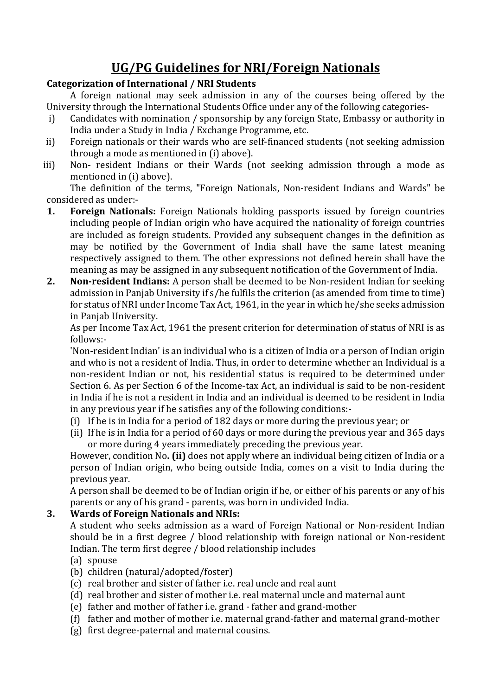# **UG/PG Guidelines for NRI/Foreign Nationals**

## **Categorization of International / NRI Students**

A foreign national may seek admission in any of the courses being offered by the University through the International Students Office under any of the following categories-

- i) Candidates with nomination / sponsorship by any foreign State, Embassy or authority in India under a Study in India / Exchange Programme, etc.
- ii) Foreign nationals or their wards who are self-financed students (not seeking admission through a mode as mentioned in (i) above).
- iii) Non- resident Indians or their Wards (not seeking admission through a mode as mentioned in (i) above).

The definition of the terms, "Foreign Nationals, Non-resident Indians and Wards" be considered as under:-

- **1. Foreign Nationals:** Foreign Nationals holding passports issued by foreign countries including people of Indian origin who have acquired the nationality of foreign countries are included as foreign students. Provided any subsequent changes in the definition as may be notified by the Government of India shall have the same latest meaning respectively assigned to them. The other expressions not defined herein shall have the meaning as may be assigned in any subsequent notification of the Government of India.
- **2. Non-resident Indians:** A person shall be deemed to be Non-resident Indian for seeking admission in Panjab University if s/he fulfils the criterion (as amended from time to time) for status of NRI under Income Tax Act, 1961, in the year in which he/she seeks admission in Panjab University.

As per Income Tax Act, 1961 the present criterion for determination of status of NRI is as follows:-

'Non-resident Indian' is an individual who is a citizen of India or a person of Indian origin and who is not a resident of India. Thus, in order to determine whether an Individual is a non-resident Indian or not, his residential status is required to be determined under Section 6. As per Section 6 of the Income-tax Act, an individual is said to be non-resident in India if he is not a resident in India and an individual is deemed to be resident in India in any previous year if he satisfies any of the following conditions:-

- (i) If he is in India for a period of 182 days or more during the previous year; or
- (ii) If he is in India for a period of 60 days or more during the previous year and 365 days or more during 4 years immediately preceding the previous year.

However, condition No**. (ii)** does not apply where an individual being citizen of India or a person of Indian origin, who being outside India, comes on a visit to India during the previous year.

A person shall be deemed to be of Indian origin if he, or either of his parents or any of his parents or any of his grand - parents, was born in undivided India.

# **3. Wards of Foreign Nationals and NRIs:**

A student who seeks admission as a ward of Foreign National or Non-resident Indian should be in a first degree / blood relationship with foreign national or Non-resident Indian. The term first degree / blood relationship includes

- (a) spouse
- (b) children (natural/adopted/foster)
- (c) real brother and sister of father i.e. real uncle and real aunt
- (d) real brother and sister of mother i.e. real maternal uncle and maternal aunt
- (e) father and mother of father i.e. grand father and grand-mother
- (f) father and mother of mother i.e. maternal grand-father and maternal grand-mother
- (g) first degree-paternal and maternal cousins.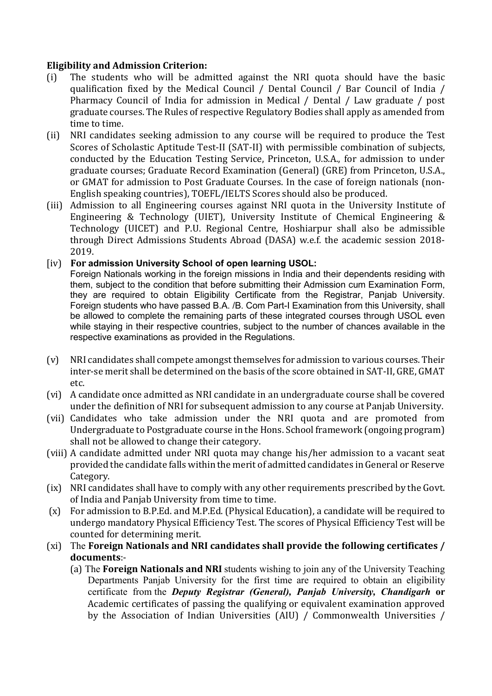## **Eligibility and Admission Criterion:**

- (i) The students who will be admitted against the NRI quota should have the basic qualification fixed by the Medical Council / Dental Council / Bar Council of India / Pharmacy Council of India for admission in Medical / Dental / Law graduate / post graduate courses. The Rules of respective Regulatory Bodies shall apply as amended from time to time.
- (ii) NRI candidates seeking admission to any course will be required to produce the Test Scores of Scholastic Aptitude Test-II (SAT-II) with permissible combination of subjects, conducted by the Education Testing Service, Princeton, U.S.A., for admission to under graduate courses; Graduate Record Examination (General) (GRE) from Princeton, U.S.A., or GMAT for admission to Post Graduate Courses. In the case of foreign nationals (non-English speaking countries), TOEFL/IELTS Scores should also be produced.
- (iii) Admission to all Engineering courses against NRI quota in the University Institute of Engineering & Technology (UIET), University Institute of Chemical Engineering & Technology (UICET) and P.U. Regional Centre, Hoshiarpur shall also be admissible through Direct Admissions Students Abroad (DASA) w.e.f. the academic session 2018- 2019.

## [iv) **For admission University School of open learning USOL:**

Foreign Nationals working in the foreign missions in India and their dependents residing with them, subject to the condition that before submitting their Admission cum Examination Form, they are required to obtain Eligibility Certificate from the Registrar, Panjab University. Foreign students who have passed B.A. /B. Com Part-I Examination from this University, shall be allowed to complete the remaining parts of these integrated courses through USOL even while staying in their respective countries, subject to the number of chances available in the respective examinations as provided in the Regulations.

- (v) NRI candidates shall compete amongst themselves for admission to various courses. Their inter-se merit shall be determined on the basis of the score obtained in SAT-II, GRE, GMAT etc.
- (vi) A candidate once admitted as NRI candidate in an undergraduate course shall be covered under the definition of NRI for subsequent admission to any course at Panjab University.
- (vii) Candidates who take admission under the NRI quota and are promoted from Undergraduate to Postgraduate course in the Hons. School framework (ongoing program) shall not be allowed to change their category.
- (viii) A candidate admitted under NRI quota may change his/her admission to a vacant seat provided the candidate falls within the merit of admitted candidates in General or Reserve Category.
- (ix) NRI candidates shall have to comply with any other requirements prescribed by the Govt. of India and Panjab University from time to time.
- (x) For admission to B.P.Ed. and M.P.Ed. (Physical Education), a candidate will be required to undergo mandatory Physical Efficiency Test. The scores of Physical Efficiency Test will be counted for determining merit.
- (xi) The **Foreign Nationals and NRI candidates shall provide the following certificates / documents**:-
	- (a) The **Foreign Nationals and NRI** students wishing to join any of the University Teaching Departments Panjab University for the first time are required to obtain an eligibility certificate from the *Deputy Registrar (General), Panjab University, Chandigarh* **or**  Academic certificates of passing the qualifying or equivalent examination approved by the Association of Indian Universities (AIU) / Commonwealth Universities /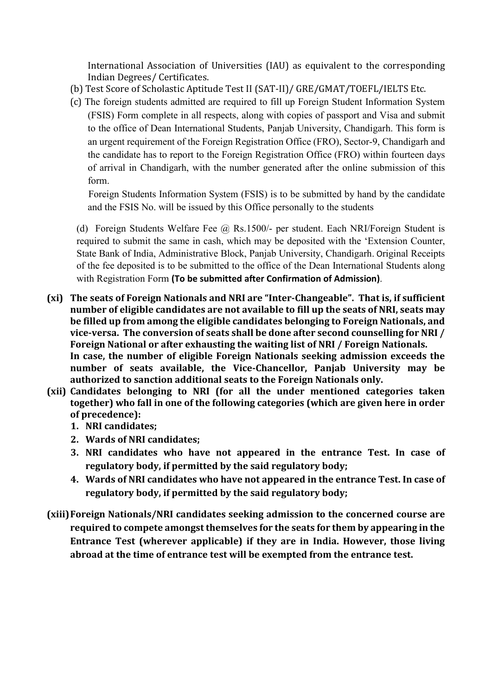International Association of Universities (IAU) as equivalent to the corresponding Indian Degrees/ Certificates.

- (b) Test Score of Scholastic Aptitude Test II (SAT-II)/ GRE/GMAT/TOEFL/IELTS Etc.
- (c) The foreign students admitted are required to fill up Foreign Student Information System (FSIS) Form complete in all respects, along with copies of passport and Visa and submit to the office of Dean International Students, Panjab University, Chandigarh. This form is an urgent requirement of the Foreign Registration Office (FRO), Sector-9, Chandigarh and the candidate has to report to the Foreign Registration Office (FRO) within fourteen days of arrival in Chandigarh, with the number generated after the online submission of this form.

Foreign Students Information System (FSIS) is to be submitted by hand by the candidate and the FSIS No. will be issued by this Office personally to the students

(d) Foreign Students Welfare Fee @ Rs.1500/- per student. Each NRI/Foreign Student is required to submit the same in cash, which may be deposited with the 'Extension Counter, State Bank of India, Administrative Block, Panjab University, Chandigarh. Original Receipts of the fee deposited is to be submitted to the office of the Dean International Students along with Registration Form **(To be submitted after Confirmation of Admission)**.

- **(xi) The seats of Foreign Nationals and NRI are "Inter-Changeable". That is, if sufficient number of eligible candidates are not available to fill up the seats of NRI, seats may be filled up from among the eligible candidates belonging to Foreign Nationals, and vice-versa. The conversion of seats shall be done after second counselling for NRI / Foreign National or after exhausting the waiting list of NRI / Foreign Nationals. In case, the number of eligible Foreign Nationals seeking admission exceeds the number of seats available, the Vice-Chancellor, Panjab University may be authorized to sanction additional seats to the Foreign Nationals only.**
- **(xii) Candidates belonging to NRI (for all the under mentioned categories taken together) who fall in one of the following categories (which are given here in order of precedence):** 
	- **1. NRI candidates;**
	- **2. Wards of NRI candidates;**
	- **3. NRI candidates who have not appeared in the entrance Test. In case of regulatory body, if permitted by the said regulatory body;**
	- **4. Wards of NRI candidates who have not appeared in the entrance Test. In case of regulatory body, if permitted by the said regulatory body;**
- **(xiii) Foreign Nationals/NRI candidates seeking admission to the concerned course are required to compete amongst themselves for the seats for them by appearing in the Entrance Test (wherever applicable) if they are in India. However, those living abroad at the time of entrance test will be exempted from the entrance test.**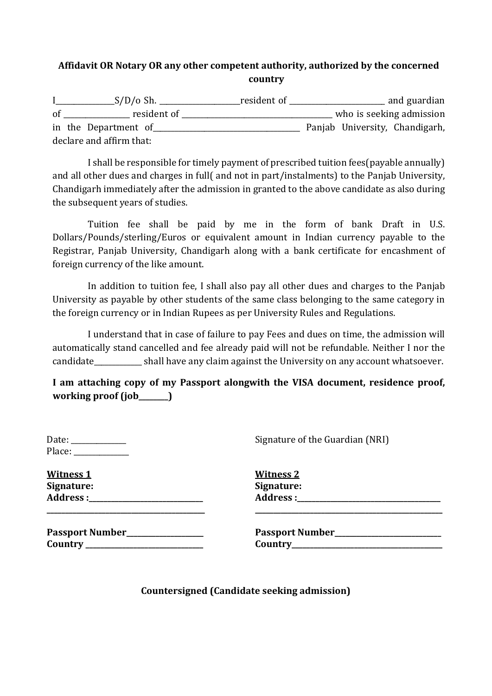# **Affidavit OR Notary OR any other competent authority, authorized by the concerned country**

I\_\_\_\_\_\_\_\_\_\_\_\_\_\_\_\_S/D/o Sh. \_\_\_\_\_\_\_\_\_\_\_\_\_\_\_\_\_\_\_\_\_\_resident of \_\_\_\_\_\_\_\_\_\_\_\_\_\_\_\_\_\_\_\_\_\_\_\_\_\_ and guardian of the contract resident of the contract of the contract who is seeking admission in the Department of **Panjab University**, Chandigarh, declare and affirm that:

I shall be responsible for timely payment of prescribed tuition fees(payable annually) and all other dues and charges in full( and not in part/instalments) to the Panjab University, Chandigarh immediately after the admission in granted to the above candidate as also during the subsequent years of studies.

Tuition fee shall be paid by me in the form of bank Draft in U.S. Dollars/Pounds/sterling/Euros or equivalent amount in Indian currency payable to the Registrar, Panjab University, Chandigarh along with a bank certificate for encashment of foreign currency of the like amount.

In addition to tuition fee, I shall also pay all other dues and charges to the Panjab University as payable by other students of the same class belonging to the same category in the foreign currency or in Indian Rupees as per University Rules and Regulations.

I understand that in case of failure to pay Fees and dues on time, the admission will automatically stand cancelled and fee already paid will not be refundable. Neither I nor the candidate\_\_\_\_\_\_\_\_\_\_\_\_\_ shall have any claim against the University on any account whatsoever.

**I am attaching copy of my Passport alongwith the VISA document, residence proof, working proof (job\_\_\_\_\_\_\_\_)** 

| Date:  |  |
|--------|--|
| Place: |  |

**Witness 1 Witness 2 Signature:** Address : **\_\_\_\_\_\_\_\_\_\_\_\_\_\_\_\_\_\_\_\_\_\_\_\_\_\_\_\_\_\_\_\_\_\_\_\_\_\_\_\_\_\_\_ \_\_\_\_\_\_\_\_\_\_\_\_\_\_\_\_\_\_\_\_\_\_\_\_\_\_\_\_\_\_\_\_\_\_\_\_\_\_\_\_\_\_\_\_\_\_\_\_\_\_\_** 

| <b>Witness 2</b> |  |
|------------------|--|
| Signature:       |  |
| Address:         |  |

Signature of the Guardian (NRI)

| <b>Passport Number</b> |  |
|------------------------|--|
| Country                |  |

Passport Number **Country \_\_\_\_\_\_\_\_\_\_\_\_\_\_\_\_\_\_\_\_\_\_\_\_\_\_\_\_\_\_\_\_ Country\_\_\_\_\_\_\_\_\_\_\_\_\_\_\_\_\_\_\_\_\_\_\_\_\_\_\_\_\_\_\_\_\_\_\_\_\_\_\_\_\_** 

**Countersigned (Candidate seeking admission)**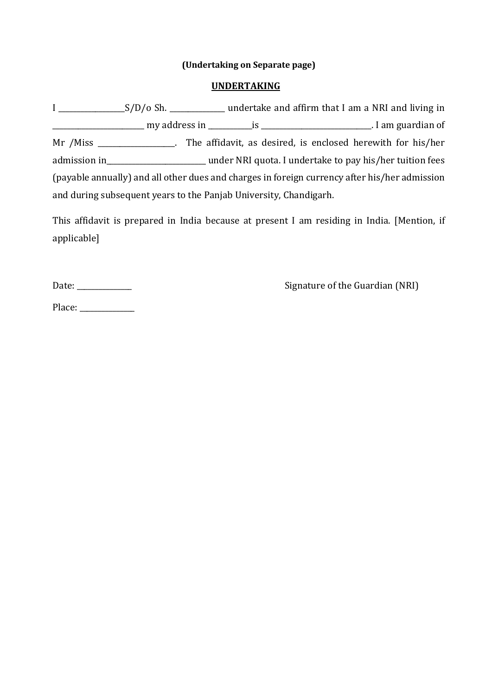### **(Undertaking on Separate page)**

### **UNDERTAKING**

I \_\_\_\_\_\_\_\_\_\_\_\_\_\_\_\_\_\_S/D/o Sh. \_\_\_\_\_\_\_\_\_\_\_\_\_\_\_ undertake and affirm that I am a NRI and living in \_\_\_\_\_\_\_\_\_\_\_\_\_\_\_\_\_\_\_\_\_\_\_\_\_ my address in \_\_\_\_\_\_\_\_\_\_\_\_is \_\_\_\_\_\_\_\_\_\_\_\_\_\_\_\_\_\_\_\_\_\_\_\_\_\_\_\_\_\_. I am guardian of Mr /Miss \_\_\_\_\_\_\_\_\_\_\_\_\_\_\_\_\_. The affidavit, as desired, is enclosed herewith for his/her admission in\_\_\_\_\_\_\_\_\_\_\_\_\_\_\_\_\_\_\_\_\_\_\_\_\_\_\_ under NRI quota. I undertake to pay his/her tuition fees (payable annually) and all other dues and charges in foreign currency after his/her admission and during subsequent years to the Panjab University, Chandigarh.

This affidavit is prepared in India because at present I am residing in India. [Mention, if applicable]

Date: \_\_\_\_\_\_\_\_\_\_\_\_\_\_\_ Signature of the Guardian (NRI)

Place: \_\_\_\_\_\_\_\_\_\_\_\_\_\_\_